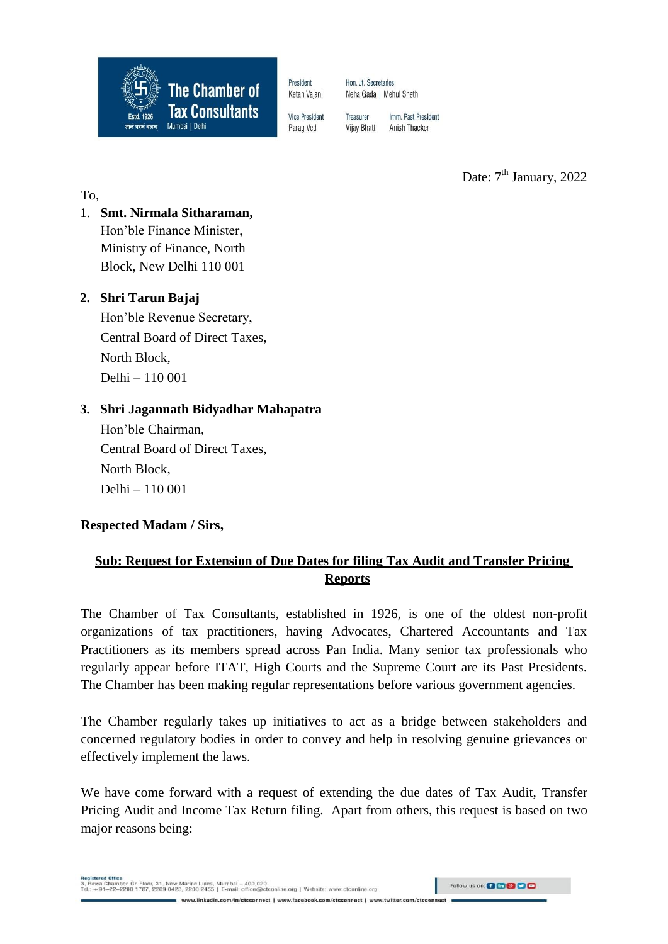

President Ketan Vajani Hon. Jt. Secretaries Neha Gada | Mehul Sheth

Vice President Parag Ved

Imm. Past President Treasurer **Vijay Bhatt** Anish Thacker

Date: 7<sup>th</sup> January, 2022

To,

1. **Smt. Nirmala Sitharaman,**  Hon'ble Finance Minister, Ministry of Finance, North Block, New Delhi 110 001

## **2. Shri Tarun Bajaj**

Hon'ble Revenue Secretary, Central Board of Direct Taxes, North Block, Delhi – 110 001

## **3. Shri Jagannath Bidyadhar Mahapatra**

Hon'ble Chairman, Central Board of Direct Taxes, North Block, Delhi – 110 001

**Respected Madam / Sirs,**

# **Sub: Request for Extension of Due Dates for filing Tax Audit and Transfer Pricing Reports**

The Chamber of Tax Consultants, established in 1926, is one of the oldest non-profit organizations of tax practitioners, having Advocates, Chartered Accountants and Tax Practitioners as its members spread across Pan India. Many senior tax professionals who regularly appear before ITAT, High Courts and the Supreme Court are its Past Presidents. The Chamber has been making regular representations before various government agencies.

The Chamber regularly takes up initiatives to act as a bridge between stakeholders and concerned regulatory bodies in order to convey and help in resolving genuine grievances or effectively implement the laws.

We have come forward with a request of extending the due dates of Tax Audit, Transfer Pricing Audit and Income Tax Return filing. Apart from others, this request is based on two major reasons being:

3, Rewa Chamber, Gr. Floor, 31, New Marine Lines, Mumbai - 400 020.<br>Tel.: +91-22-2200 1787, 2209 0423, 2200 2455 | E-mail: office@ctconline.org | Website: www.ctconline.org www.linkedin.com/in/ctcconnect | www.facebook.com/ctcconnect | www.twitter

Follow us on: **(3 fm 8) DO**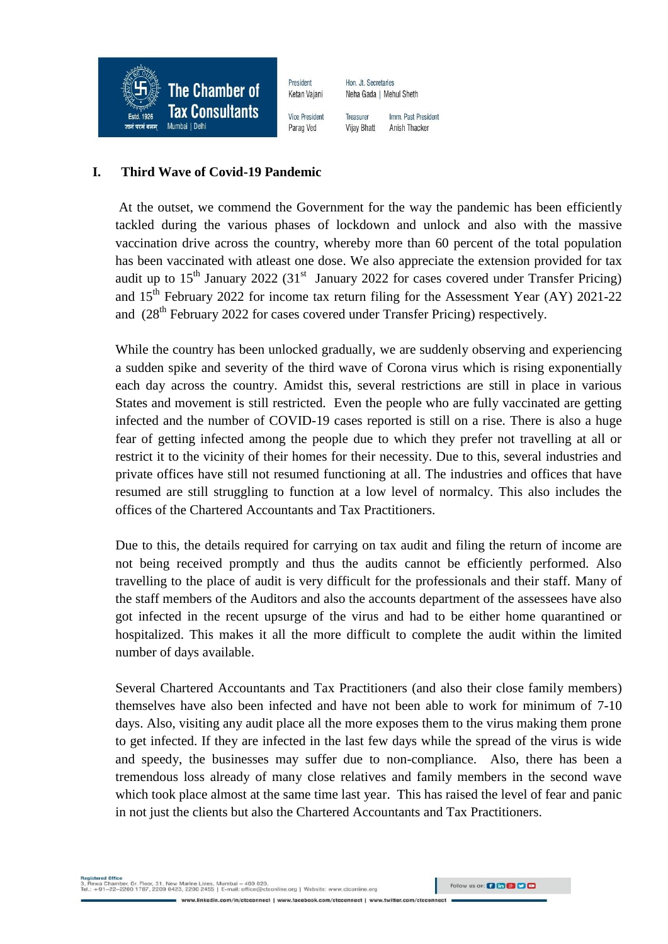

#### **I. Third Wave of Covid-19 Pandemic**

At the outset, we commend the Government for the way the pandemic has been efficiently tackled during the various phases of lockdown and unlock and also with the massive vaccination drive across the country, whereby more than 60 percent of the total population has been vaccinated with atleast one dose. We also appreciate the extension provided for tax audit up to  $15<sup>th</sup>$  January 2022 (31<sup>st</sup> January 2022 for cases covered under Transfer Pricing) and  $15<sup>th</sup>$  February 2022 for income tax return filing for the Assessment Year (AY) 2021-22 and  $(28<sup>th</sup>$  February 2022 for cases covered under Transfer Pricing) respectively.

While the country has been unlocked gradually, we are suddenly observing and experiencing a sudden spike and severity of the third wave of Corona virus which is rising exponentially each day across the country. Amidst this, several restrictions are still in place in various States and movement is still restricted. Even the people who are fully vaccinated are getting infected and the number of COVID-19 cases reported is still on a rise. There is also a huge fear of getting infected among the people due to which they prefer not travelling at all or restrict it to the vicinity of their homes for their necessity. Due to this, several industries and private offices have still not resumed functioning at all. The industries and offices that have resumed are still struggling to function at a low level of normalcy. This also includes the offices of the Chartered Accountants and Tax Practitioners.

Due to this, the details required for carrying on tax audit and filing the return of income are not being received promptly and thus the audits cannot be efficiently performed. Also travelling to the place of audit is very difficult for the professionals and their staff. Many of the staff members of the Auditors and also the accounts department of the assessees have also got infected in the recent upsurge of the virus and had to be either home quarantined or hospitalized. This makes it all the more difficult to complete the audit within the limited number of days available.

Several Chartered Accountants and Tax Practitioners (and also their close family members) themselves have also been infected and have not been able to work for minimum of 7-10 days. Also, visiting any audit place all the more exposes them to the virus making them prone to get infected. If they are infected in the last few days while the spread of the virus is wide and speedy, the businesses may suffer due to non-compliance. Also, there has been a tremendous loss already of many close relatives and family members in the second wave which took place almost at the same time last year. This has raised the level of fear and panic in not just the clients but also the Chartered Accountants and Tax Practitioners.

Follow us on: **(3 fm 8) DO**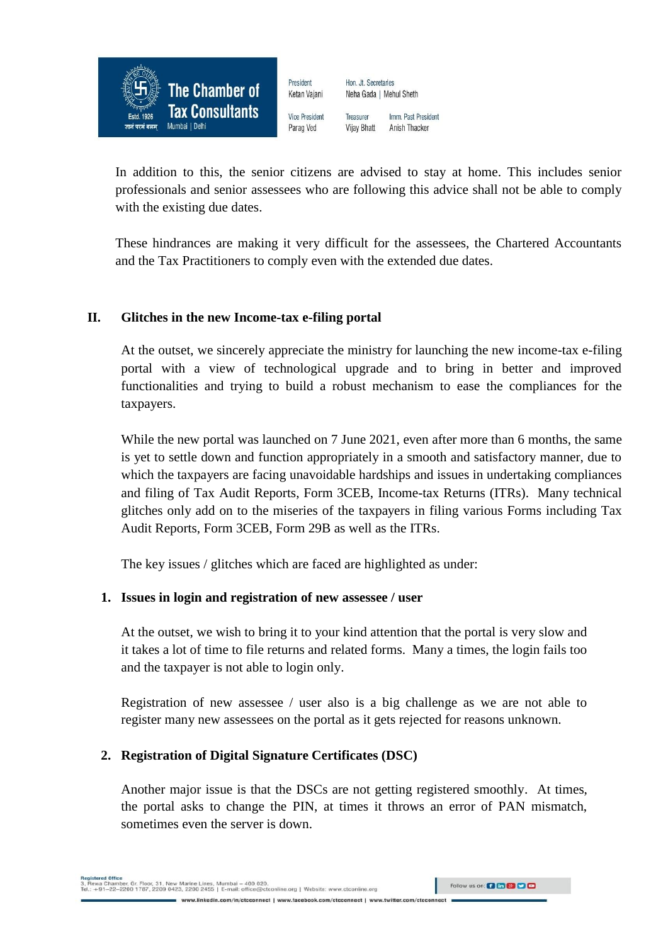

In addition to this, the senior citizens are advised to stay at home. This includes senior professionals and senior assessees who are following this advice shall not be able to comply with the existing due dates.

These hindrances are making it very difficult for the assessees, the Chartered Accountants and the Tax Practitioners to comply even with the extended due dates.

#### **II. Glitches in the new Income-tax e-filing portal**

At the outset, we sincerely appreciate the ministry for launching the new income-tax e-filing portal with a view of technological upgrade and to bring in better and improved functionalities and trying to build a robust mechanism to ease the compliances for the taxpayers.

While the new portal was launched on 7 June 2021, even after more than 6 months, the same is yet to settle down and function appropriately in a smooth and satisfactory manner, due to which the taxpayers are facing unavoidable hardships and issues in undertaking compliances and filing of Tax Audit Reports, Form 3CEB, Income-tax Returns (ITRs). Many technical glitches only add on to the miseries of the taxpayers in filing various Forms including Tax Audit Reports, Form 3CEB, Form 29B as well as the ITRs.

The key issues / glitches which are faced are highlighted as under:

#### **1. Issues in login and registration of new assessee / user**

At the outset, we wish to bring it to your kind attention that the portal is very slow and it takes a lot of time to file returns and related forms. Many a times, the login fails too and the taxpayer is not able to login only.

Registration of new assessee / user also is a big challenge as we are not able to register many new assessees on the portal as it gets rejected for reasons unknown.

#### **2. Registration of Digital Signature Certificates (DSC)**

Another major issue is that the DSCs are not getting registered smoothly. At times, the portal asks to change the PIN, at times it throws an error of PAN mismatch, sometimes even the server is down.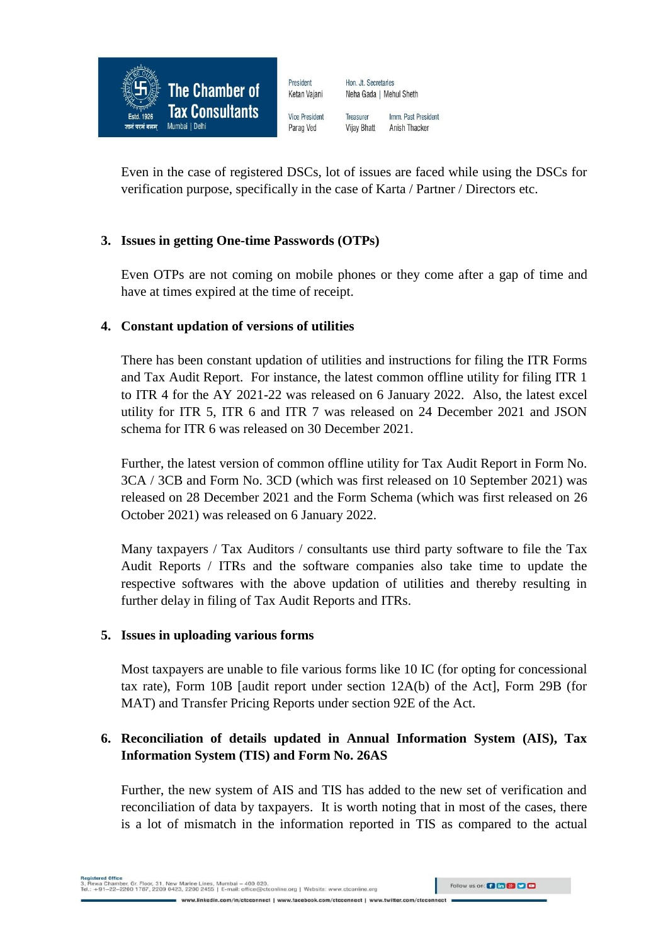

Even in the case of registered DSCs, lot of issues are faced while using the DSCs for verification purpose, specifically in the case of Karta / Partner / Directors etc.

#### **3. Issues in getting One-time Passwords (OTPs)**

Even OTPs are not coming on mobile phones or they come after a gap of time and have at times expired at the time of receipt.

#### **4. Constant updation of versions of utilities**

There has been constant updation of utilities and instructions for filing the ITR Forms and Tax Audit Report. For instance, the latest common offline utility for filing ITR 1 to ITR 4 for the AY 2021-22 was released on 6 January 2022. Also, the latest excel utility for ITR 5, ITR 6 and ITR 7 was released on 24 December 2021 and JSON schema for ITR 6 was released on 30 December 2021.

Further, the latest version of common offline utility for Tax Audit Report in Form No. 3CA / 3CB and Form No. 3CD (which was first released on 10 September 2021) was released on 28 December 2021 and the Form Schema (which was first released on 26 October 2021) was released on 6 January 2022.

Many taxpayers / Tax Auditors / consultants use third party software to file the Tax Audit Reports / ITRs and the software companies also take time to update the respective softwares with the above updation of utilities and thereby resulting in further delay in filing of Tax Audit Reports and ITRs.

#### **5. Issues in uploading various forms**

Most taxpayers are unable to file various forms like 10 IC (for opting for concessional tax rate), Form 10B [audit report under section 12A(b) of the Act], Form 29B (for MAT) and Transfer Pricing Reports under section 92E of the Act.

### **6. Reconciliation of details updated in Annual Information System (AIS), Tax Information System (TIS) and Form No. 26AS**

Further, the new system of AIS and TIS has added to the new set of verification and reconciliation of data by taxpayers. It is worth noting that in most of the cases, there is a lot of mismatch in the information reported in TIS as compared to the actual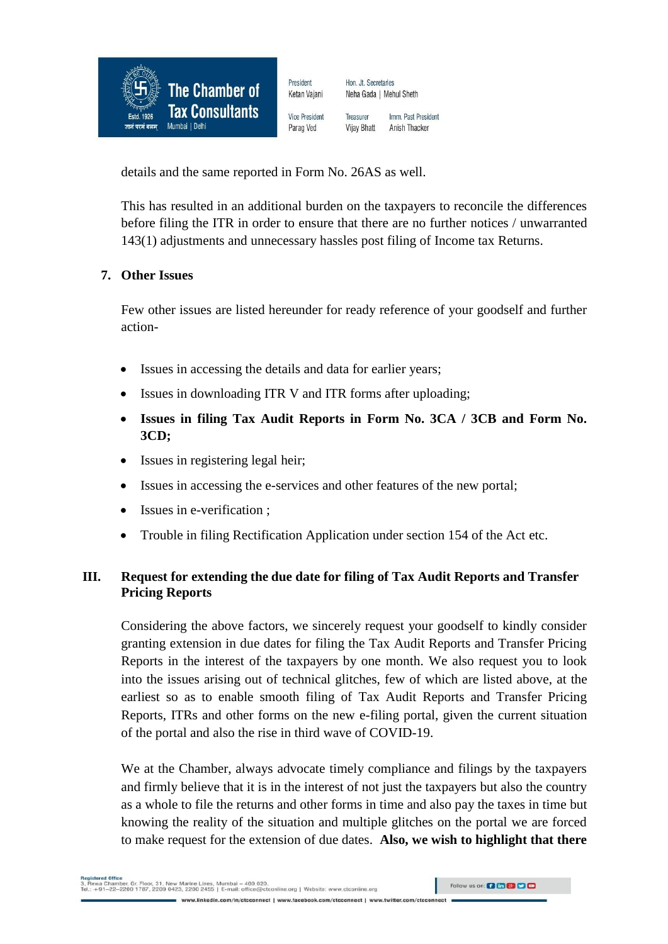

details and the same reported in Form No. 26AS as well.

This has resulted in an additional burden on the taxpayers to reconcile the differences before filing the ITR in order to ensure that there are no further notices / unwarranted 143(1) adjustments and unnecessary hassles post filing of Income tax Returns.

### **7. Other Issues**

Few other issues are listed hereunder for ready reference of your goodself and further action-

- Issues in accessing the details and data for earlier years;
- Issues in downloading ITR V and ITR forms after uploading;
- **Issues in filing Tax Audit Reports in Form No. 3CA / 3CB and Form No. 3CD;**
- Issues in registering legal heir;
- Issues in accessing the e-services and other features of the new portal;
- Issues in e-verification :
- Trouble in filing Rectification Application under section 154 of the Act etc.

## **III. Request for extending the due date for filing of Tax Audit Reports and Transfer Pricing Reports**

Considering the above factors, we sincerely request your goodself to kindly consider granting extension in due dates for filing the Tax Audit Reports and Transfer Pricing Reports in the interest of the taxpayers by one month. We also request you to look into the issues arising out of technical glitches, few of which are listed above, at the earliest so as to enable smooth filing of Tax Audit Reports and Transfer Pricing Reports, ITRs and other forms on the new e-filing portal, given the current situation of the portal and also the rise in third wave of COVID-19.

We at the Chamber, always advocate timely compliance and filings by the taxpayers and firmly believe that it is in the interest of not just the taxpayers but also the country as a whole to file the returns and other forms in time and also pay the taxes in time but knowing the reality of the situation and multiple glitches on the portal we are forced to make request for the extension of due dates. **Also, we wish to highlight that there**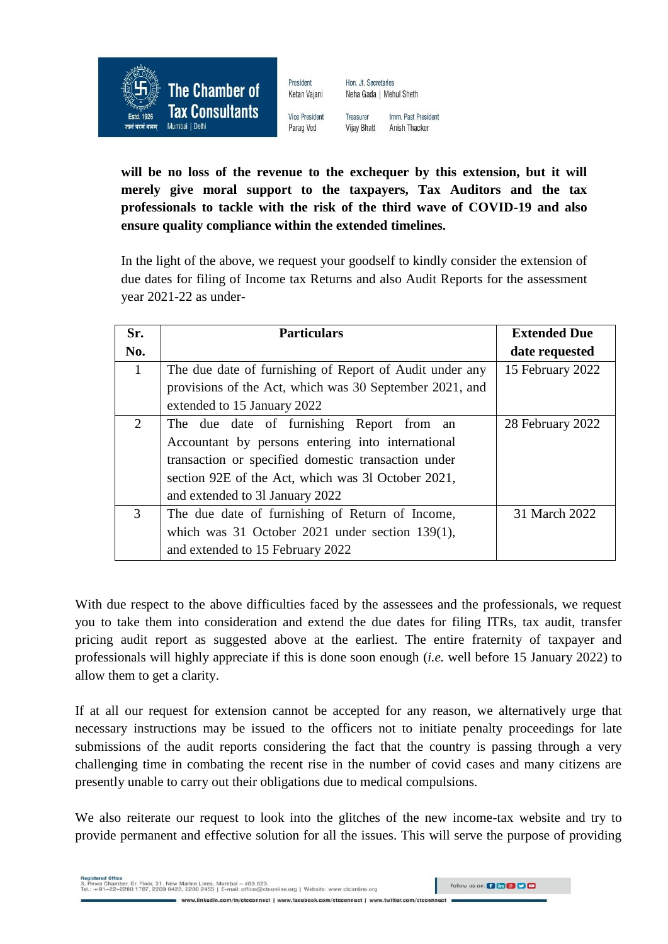

Neha Gada | Mehul Sheth Treasurer

Hon. Jt. Secretaries

Imm. Past President **Vijay Bhatt** Anish Thacker

**will be no loss of the revenue to the exchequer by this extension, but it will merely give moral support to the taxpayers, Tax Auditors and the tax professionals to tackle with the risk of the third wave of COVID-19 and also ensure quality compliance within the extended timelines.**

In the light of the above, we request your goodself to kindly consider the extension of due dates for filing of Income tax Returns and also Audit Reports for the assessment year 2021-22 as under-

| Sr.          | <b>Particulars</b>                                      | <b>Extended Due</b> |
|--------------|---------------------------------------------------------|---------------------|
| No.          |                                                         | date requested      |
| $\mathbf{1}$ | The due date of furnishing of Report of Audit under any | 15 February 2022    |
|              | provisions of the Act, which was 30 September 2021, and |                     |
|              | extended to 15 January 2022                             |                     |
| 2            | The due date of furnishing Report from an               | 28 February 2022    |
|              | Accountant by persons entering into international       |                     |
|              | transaction or specified domestic transaction under     |                     |
|              | section 92E of the Act, which was 31 October 2021,      |                     |
|              | and extended to 31 January 2022                         |                     |
| 3            | The due date of furnishing of Return of Income,         | 31 March 2022       |
|              | which was 31 October 2021 under section $139(1)$ ,      |                     |
|              | and extended to 15 February 2022                        |                     |

With due respect to the above difficulties faced by the assessees and the professionals, we request you to take them into consideration and extend the due dates for filing ITRs, tax audit, transfer pricing audit report as suggested above at the earliest. The entire fraternity of taxpayer and professionals will highly appreciate if this is done soon enough (*i.e.* well before 15 January 2022) to allow them to get a clarity.

If at all our request for extension cannot be accepted for any reason, we alternatively urge that necessary instructions may be issued to the officers not to initiate penalty proceedings for late submissions of the audit reports considering the fact that the country is passing through a very challenging time in combating the recent rise in the number of covid cases and many citizens are presently unable to carry out their obligations due to medical compulsions.

We also reiterate our request to look into the glitches of the new income-tax website and try to provide permanent and effective solution for all the issues. This will serve the purpose of providing